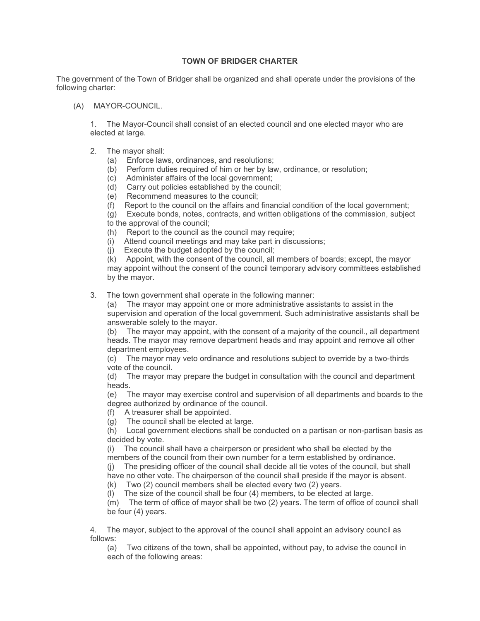## **TOWN OF BRIDGER CHARTER**

The government of the Town of Bridger shall be organized and shall operate under the provisions of the following charter:

(A) MAYOR-COUNCIL.

1. The Mayor-Council shall consist of an elected council and one elected mayor who are elected at large.

- 2. The mayor shall:
	- (a) Enforce laws, ordinances, and resolutions;
	- (b) Perform duties required of him or her by law, ordinance, or resolution;
	- (c) Administer affairs of the local government;
	- (d) Carry out policies established by the council;
	- (e) Recommend measures to the council;
	- (f) Report to the council on the affairs and financial condition of the local government;
	- (g) Execute bonds, notes, contracts, and written obligations of the commission, subject

to the approval of the council;

- (h) Report to the council as the council may require;
- (i) Attend council meetings and may take part in discussions;
- (j) Execute the budget adopted by the council;

(k) Appoint, with the consent of the council, all members of boards; except, the mayor may appoint without the consent of the council temporary advisory committees established by the mayor.

3. The town government shall operate in the following manner:

(a) The mayor may appoint one or more administrative assistants to assist in the supervision and operation of the local government. Such administrative assistants shall be answerable solely to the mayor.

(b) The mayor may appoint, with the consent of a majority of the council., all department heads. The mayor may remove department heads and may appoint and remove all other department employees.

(c) The mayor may veto ordinance and resolutions subject to override by a two-thirds vote of the council.

(d) The mayor may prepare the budget in consultation with the council and department heads.

(e) The mayor may exercise control and supervision of all departments and boards to the degree authorized by ordinance of the council.

(f) A treasurer shall be appointed.

(g) The council shall be elected at large.

(h) Local government elections shall be conducted on a partisan or non-partisan basis as decided by vote.

(i) The council shall have a chairperson or president who shall be elected by the members of the council from their own number for a term established by ordinance. (j) The presiding officer of the council shall decide all tie votes of the council, but shall

have no other vote. The chairperson of the council shall preside if the mayor is absent.

(k) Two (2) council members shall be elected every two (2) years.

(l) The size of the council shall be four (4) members, to be elected at large.

(m) The term of office of mayor shall be two (2) years. The term of office of council shall be four (4) years.

4. The mayor, subject to the approval of the council shall appoint an advisory council as follows:

(a) Two citizens of the town, shall be appointed, without pay, to advise the council in each of the following areas: